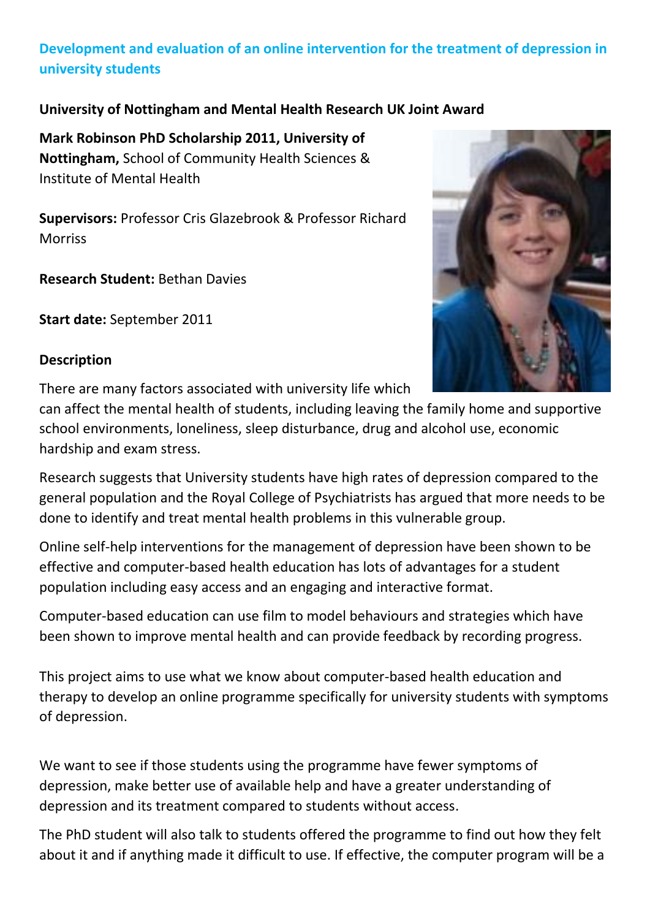# **Development and evaluation of an online intervention for the treatment of depression in university students**

## **University of Nottingham and Mental Health Research UK Joint Award**

**Mark Robinson PhD Scholarship 2011, University of Nottingham,** School of Community Health Sciences & Institute of Mental Health

**Supervisors:** Professor Cris Glazebrook & Professor Richard Morriss

**Research Student:** Bethan Davies

**Start date:** September 2011

#### **Description**

There are many factors associated with university life which

can affect the mental health of students, including leaving the family home and supportive school environments, loneliness, sleep disturbance, drug and alcohol use, economic hardship and exam stress.

Research suggests that University students have high rates of depression compared to the general population and the Royal College of Psychiatrists has argued that more needs to be done to identify and treat mental health problems in this vulnerable group.

Online self-help interventions for the management of depression have been shown to be effective and computer-based health education has lots of advantages for a student population including easy access and an engaging and interactive format.

Computer-based education can use film to model behaviours and strategies which have been shown to improve mental health and can provide feedback by recording progress.

This project aims to use what we know about computer-based health education and therapy to develop an online programme specifically for university students with symptoms of depression.

We want to see if those students using the programme have fewer symptoms of depression, make better use of available help and have a greater understanding of depression and its treatment compared to students without access.

The PhD student will also talk to students offered the programme to find out how they felt about it and if anything made it difficult to use. If effective, the computer program will be a

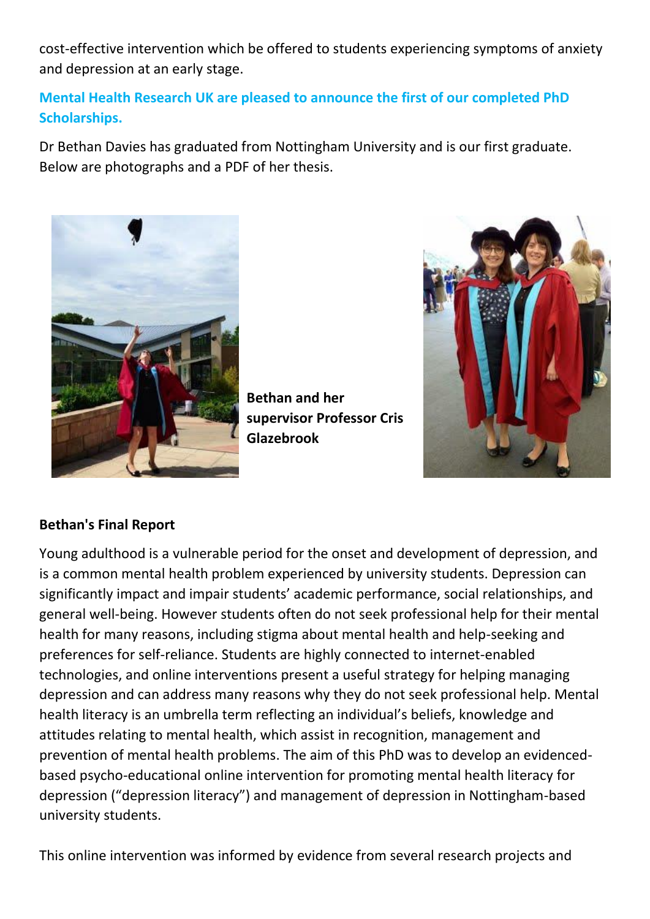cost-effective intervention which be offered to students experiencing symptoms of anxiety and depression at an early stage.

# **Mental Health Research UK are pleased to announce the first of our completed PhD Scholarships.**

Dr Bethan Davies has graduated from Nottingham University and is our first graduate. Below are photographs and a PDF of her thesis.



**Bethan and her supervisor Professor Cris Glazebrook**



# **Bethan's Final Report**

Young adulthood is a vulnerable period for the onset and development of depression, and is a common mental health problem experienced by university students. Depression can significantly impact and impair students' academic performance, social relationships, and general well-being. However students often do not seek professional help for their mental health for many reasons, including stigma about mental health and help-seeking and preferences for self-reliance. Students are highly connected to internet-enabled technologies, and online interventions present a useful strategy for helping managing depression and can address many reasons why they do not seek professional help. Mental health literacy is an umbrella term reflecting an individual's beliefs, knowledge and attitudes relating to mental health, which assist in recognition, management and prevention of mental health problems. The aim of this PhD was to develop an evidencedbased psycho-educational online intervention for promoting mental health literacy for depression ("depression literacy") and management of depression in Nottingham-based university students.

This online intervention was informed by evidence from several research projects and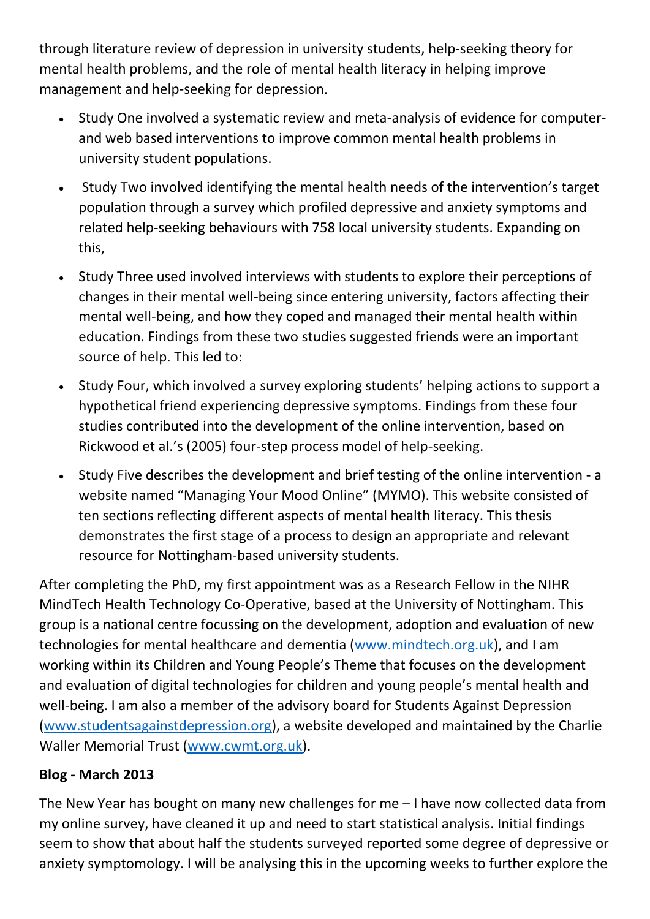through literature review of depression in university students, help-seeking theory for mental health problems, and the role of mental health literacy in helping improve management and help-seeking for depression.

- Study One involved a systematic review and meta-analysis of evidence for computerand web based interventions to improve common mental health problems in university student populations.
- Study Two involved identifying the mental health needs of the intervention's target population through a survey which profiled depressive and anxiety symptoms and related help-seeking behaviours with 758 local university students. Expanding on this,
- Study Three used involved interviews with students to explore their perceptions of changes in their mental well-being since entering university, factors affecting their mental well-being, and how they coped and managed their mental health within education. Findings from these two studies suggested friends were an important source of help. This led to:
- Study Four, which involved a survey exploring students' helping actions to support a hypothetical friend experiencing depressive symptoms. Findings from these four studies contributed into the development of the online intervention, based on Rickwood et al.'s (2005) four-step process model of help-seeking.
- Study Five describes the development and brief testing of the online intervention a website named "Managing Your Mood Online" (MYMO). This website consisted of ten sections reflecting different aspects of mental health literacy. This thesis demonstrates the first stage of a process to design an appropriate and relevant resource for Nottingham-based university students.

After completing the PhD, my first appointment was as a Research Fellow in the NIHR MindTech Health Technology Co-Operative, based at the University of Nottingham. This group is a national centre focussing on the development, adoption and evaluation of new technologies for mental healthcare and dementia [\(www.mindtech.org.uk\)](http://www.mindtech.org.uk/), and I am working within its Children and Young People's Theme that focuses on the development and evaluation of digital technologies for children and young people's mental health and well-being. I am also a member of the advisory board for Students Against Depression [\(www.studentsagainstdepression.org\)](http://www.studentsagainstdepression.org/), a website developed and maintained by the Charlie Waller Memorial Trust [\(www.cwmt.org.uk\)](http://www.cwmt.org.uk/).

# **Blog - March 2013**

The New Year has bought on many new challenges for me – I have now collected data from my online survey, have cleaned it up and need to start statistical analysis. Initial findings seem to show that about half the students surveyed reported some degree of depressive or anxiety symptomology. I will be analysing this in the upcoming weeks to further explore the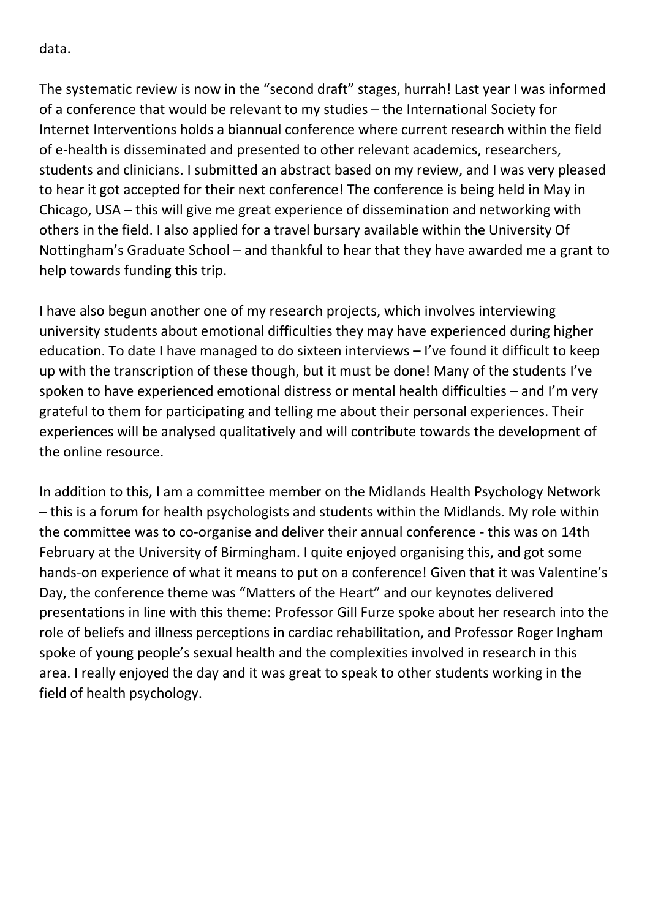data.

The systematic review is now in the "second draft" stages, hurrah! Last year I was informed of a conference that would be relevant to my studies – the International Society for Internet Interventions holds a biannual conference where current research within the field of e-health is disseminated and presented to other relevant academics, researchers, students and clinicians. I submitted an abstract based on my review, and I was very pleased to hear it got accepted for their next conference! The conference is being held in May in Chicago, USA – this will give me great experience of dissemination and networking with others in the field. I also applied for a travel bursary available within the University Of Nottingham's Graduate School – and thankful to hear that they have awarded me a grant to help towards funding this trip.

I have also begun another one of my research projects, which involves interviewing university students about emotional difficulties they may have experienced during higher education. To date I have managed to do sixteen interviews – I've found it difficult to keep up with the transcription of these though, but it must be done! Many of the students I've spoken to have experienced emotional distress or mental health difficulties – and I'm very grateful to them for participating and telling me about their personal experiences. Their experiences will be analysed qualitatively and will contribute towards the development of the online resource.

In addition to this, I am a committee member on the Midlands Health Psychology Network – this is a forum for health psychologists and students within the Midlands. My role within the committee was to co-organise and deliver their annual conference - this was on 14th February at the University of Birmingham. I quite enjoyed organising this, and got some hands-on experience of what it means to put on a conference! Given that it was Valentine's Day, the conference theme was "Matters of the Heart" and our keynotes delivered presentations in line with this theme: Professor Gill Furze spoke about her research into the role of beliefs and illness perceptions in cardiac rehabilitation, and Professor Roger Ingham spoke of young people's sexual health and the complexities involved in research in this area. I really enjoyed the day and it was great to speak to other students working in the field of health psychology.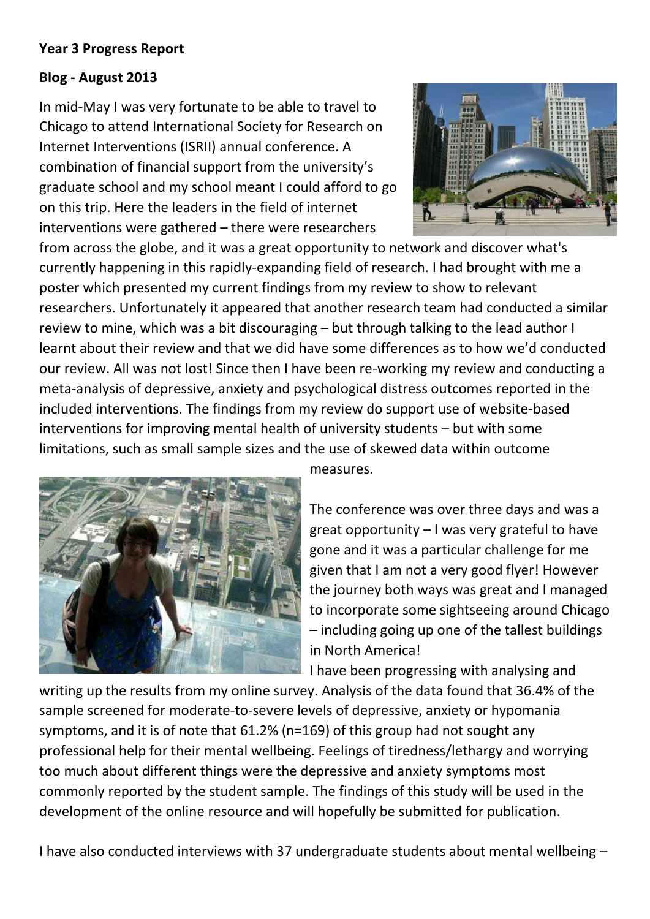#### **Year 3 Progress Report**

### **Blog - August 2013**

In mid-May I was very fortunate to be able to travel to Chicago to attend International Society for Research on Internet Interventions (ISRII) annual conference. A combination of financial support from the university's graduate school and my school meant I could afford to go on this trip. Here the leaders in the field of internet interventions were gathered – there were researchers



from across the globe, and it was a great opportunity to network and discover what's currently happening in this rapidly-expanding field of research. I had brought with me a poster which presented my current findings from my review to show to relevant researchers. Unfortunately it appeared that another research team had conducted a similar review to mine, which was a bit discouraging – but through talking to the lead author I learnt about their review and that we did have some differences as to how we'd conducted our review. All was not lost! Since then I have been re-working my review and conducting a meta-analysis of depressive, anxiety and psychological distress outcomes reported in the included interventions. The findings from my review do support use of website-based interventions for improving mental health of university students – but with some limitations, such as small sample sizes and the use of skewed data within outcome



measures.

The conference was over three days and was a great opportunity – I was very grateful to have gone and it was a particular challenge for me given that I am not a very good flyer! However the journey both ways was great and I managed to incorporate some sightseeing around Chicago – including going up one of the tallest buildings in North America!

I have been progressing with analysing and

writing up the results from my online survey. Analysis of the data found that 36.4% of the sample screened for moderate-to-severe levels of depressive, anxiety or hypomania symptoms, and it is of note that 61.2% (n=169) of this group had not sought any professional help for their mental wellbeing. Feelings of tiredness/lethargy and worrying too much about different things were the depressive and anxiety symptoms most commonly reported by the student sample. The findings of this study will be used in the development of the online resource and will hopefully be submitted for publication.

I have also conducted interviews with 37 undergraduate students about mental wellbeing –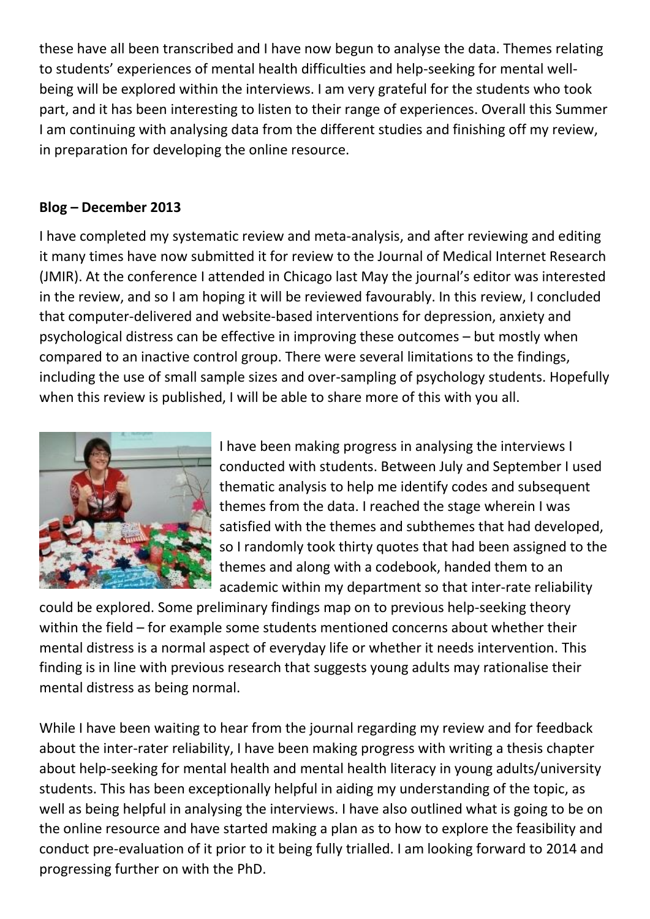these have all been transcribed and I have now begun to analyse the data. Themes relating to students' experiences of mental health difficulties and help-seeking for mental wellbeing will be explored within the interviews. I am very grateful for the students who took part, and it has been interesting to listen to their range of experiences. Overall this Summer I am continuing with analysing data from the different studies and finishing off my review, in preparation for developing the online resource.

### **Blog – December 2013**

I have completed my systematic review and meta-analysis, and after reviewing and editing it many times have now submitted it for review to the Journal of Medical Internet Research (JMIR). At the conference I attended in Chicago last May the journal's editor was interested in the review, and so I am hoping it will be reviewed favourably. In this review, I concluded that computer-delivered and website-based interventions for depression, anxiety and psychological distress can be effective in improving these outcomes – but mostly when compared to an inactive control group. There were several limitations to the findings, including the use of small sample sizes and over-sampling of psychology students. Hopefully when this review is published, I will be able to share more of this with you all.



I have been making progress in analysing the interviews I conducted with students. Between July and September I used thematic analysis to help me identify codes and subsequent themes from the data. I reached the stage wherein I was satisfied with the themes and subthemes that had developed, so I randomly took thirty quotes that had been assigned to the themes and along with a codebook, handed them to an academic within my department so that inter-rate reliability

could be explored. Some preliminary findings map on to previous help-seeking theory within the field – for example some students mentioned concerns about whether their mental distress is a normal aspect of everyday life or whether it needs intervention. This finding is in line with previous research that suggests young adults may rationalise their mental distress as being normal.

While I have been waiting to hear from the journal regarding my review and for feedback about the inter-rater reliability, I have been making progress with writing a thesis chapter about help-seeking for mental health and mental health literacy in young adults/university students. This has been exceptionally helpful in aiding my understanding of the topic, as well as being helpful in analysing the interviews. I have also outlined what is going to be on the online resource and have started making a plan as to how to explore the feasibility and conduct pre-evaluation of it prior to it being fully trialled. I am looking forward to 2014 and progressing further on with the PhD.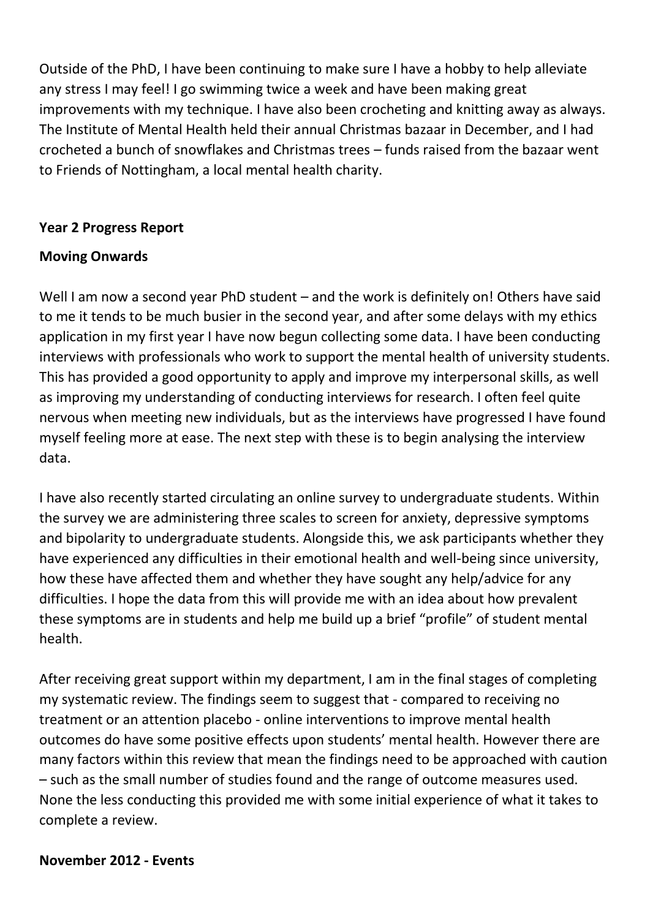Outside of the PhD, I have been continuing to make sure I have a hobby to help alleviate any stress I may feel! I go swimming twice a week and have been making great improvements with my technique. I have also been crocheting and knitting away as always. The Institute of Mental Health held their annual Christmas bazaar in December, and I had crocheted a bunch of snowflakes and Christmas trees – funds raised from the bazaar went to Friends of Nottingham, a local mental health charity.

### **Year 2 Progress Report**

### **Moving Onwards**

Well I am now a second year PhD student – and the work is definitely on! Others have said to me it tends to be much busier in the second year, and after some delays with my ethics application in my first year I have now begun collecting some data. I have been conducting interviews with professionals who work to support the mental health of university students. This has provided a good opportunity to apply and improve my interpersonal skills, as well as improving my understanding of conducting interviews for research. I often feel quite nervous when meeting new individuals, but as the interviews have progressed I have found myself feeling more at ease. The next step with these is to begin analysing the interview data.

I have also recently started circulating an online survey to undergraduate students. Within the survey we are administering three scales to screen for anxiety, depressive symptoms and bipolarity to undergraduate students. Alongside this, we ask participants whether they have experienced any difficulties in their emotional health and well-being since university, how these have affected them and whether they have sought any help/advice for any difficulties. I hope the data from this will provide me with an idea about how prevalent these symptoms are in students and help me build up a brief "profile" of student mental health.

After receiving great support within my department, I am in the final stages of completing my systematic review. The findings seem to suggest that - compared to receiving no treatment or an attention placebo - online interventions to improve mental health outcomes do have some positive effects upon students' mental health. However there are many factors within this review that mean the findings need to be approached with caution – such as the small number of studies found and the range of outcome measures used. None the less conducting this provided me with some initial experience of what it takes to complete a review.

#### **November 2012 - Events**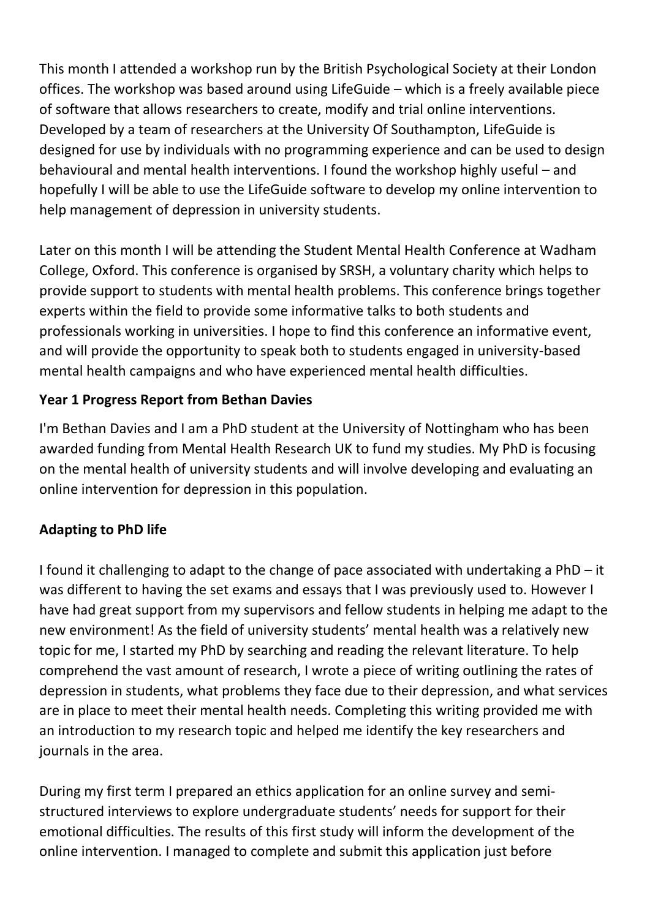This month I attended a workshop run by the British Psychological Society at their London offices. The workshop was based around using LifeGuide – which is a freely available piece of software that allows researchers to create, modify and trial online interventions. Developed by a team of researchers at the University Of Southampton, LifeGuide is designed for use by individuals with no programming experience and can be used to design behavioural and mental health interventions. I found the workshop highly useful – and hopefully I will be able to use the LifeGuide software to develop my online intervention to help management of depression in university students.

Later on this month I will be attending the Student Mental Health Conference at Wadham College, Oxford. This conference is organised by SRSH, a voluntary charity which helps to provide support to students with mental health problems. This conference brings together experts within the field to provide some informative talks to both students and professionals working in universities. I hope to find this conference an informative event, and will provide the opportunity to speak both to students engaged in university-based mental health campaigns and who have experienced mental health difficulties.

# **Year 1 Progress Report from Bethan Davies**

I'm Bethan Davies and I am a PhD student at the University of Nottingham who has been awarded funding from Mental Health Research UK to fund my studies. My PhD is focusing on the mental health of university students and will involve developing and evaluating an online intervention for depression in this population.

# **Adapting to PhD life**

I found it challenging to adapt to the change of pace associated with undertaking a PhD – it was different to having the set exams and essays that I was previously used to. However I have had great support from my supervisors and fellow students in helping me adapt to the new environment! As the field of university students' mental health was a relatively new topic for me, I started my PhD by searching and reading the relevant literature. To help comprehend the vast amount of research, I wrote a piece of writing outlining the rates of depression in students, what problems they face due to their depression, and what services are in place to meet their mental health needs. Completing this writing provided me with an introduction to my research topic and helped me identify the key researchers and journals in the area.

During my first term I prepared an ethics application for an online survey and semistructured interviews to explore undergraduate students' needs for support for their emotional difficulties. The results of this first study will inform the development of the online intervention. I managed to complete and submit this application just before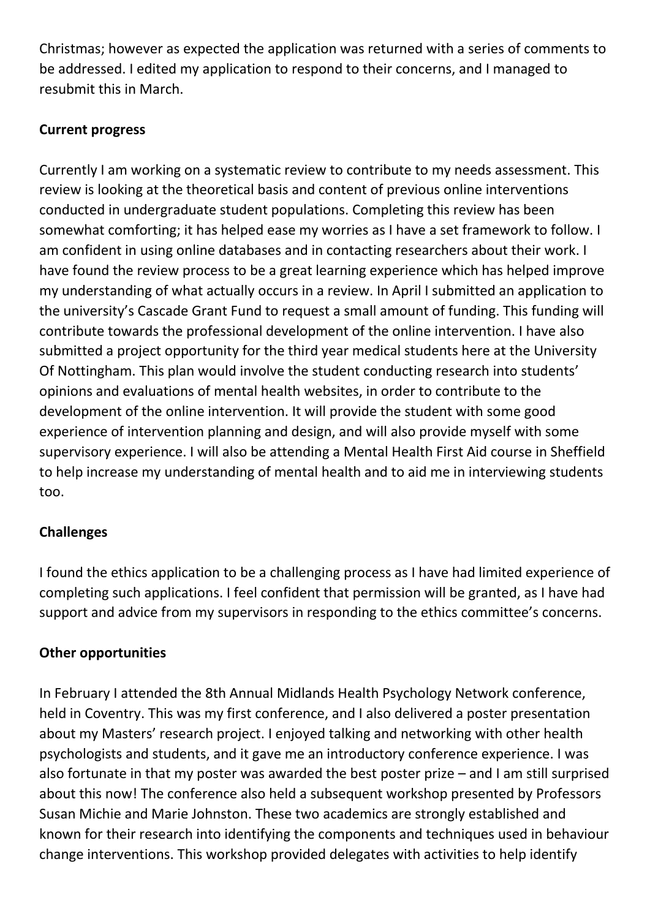Christmas; however as expected the application was returned with a series of comments to be addressed. I edited my application to respond to their concerns, and I managed to resubmit this in March.

## **Current progress**

Currently I am working on a systematic review to contribute to my needs assessment. This review is looking at the theoretical basis and content of previous online interventions conducted in undergraduate student populations. Completing this review has been somewhat comforting; it has helped ease my worries as I have a set framework to follow. I am confident in using online databases and in contacting researchers about their work. I have found the review process to be a great learning experience which has helped improve my understanding of what actually occurs in a review. In April I submitted an application to the university's Cascade Grant Fund to request a small amount of funding. This funding will contribute towards the professional development of the online intervention. I have also submitted a project opportunity for the third year medical students here at the University Of Nottingham. This plan would involve the student conducting research into students' opinions and evaluations of mental health websites, in order to contribute to the development of the online intervention. It will provide the student with some good experience of intervention planning and design, and will also provide myself with some supervisory experience. I will also be attending a Mental Health First Aid course in Sheffield to help increase my understanding of mental health and to aid me in interviewing students too.

## **Challenges**

I found the ethics application to be a challenging process as I have had limited experience of completing such applications. I feel confident that permission will be granted, as I have had support and advice from my supervisors in responding to the ethics committee's concerns.

#### **Other opportunities**

In February I attended the 8th Annual Midlands Health Psychology Network conference, held in Coventry. This was my first conference, and I also delivered a poster presentation about my Masters' research project. I enjoyed talking and networking with other health psychologists and students, and it gave me an introductory conference experience. I was also fortunate in that my poster was awarded the best poster prize – and I am still surprised about this now! The conference also held a subsequent workshop presented by Professors Susan Michie and Marie Johnston. These two academics are strongly established and known for their research into identifying the components and techniques used in behaviour change interventions. This workshop provided delegates with activities to help identify